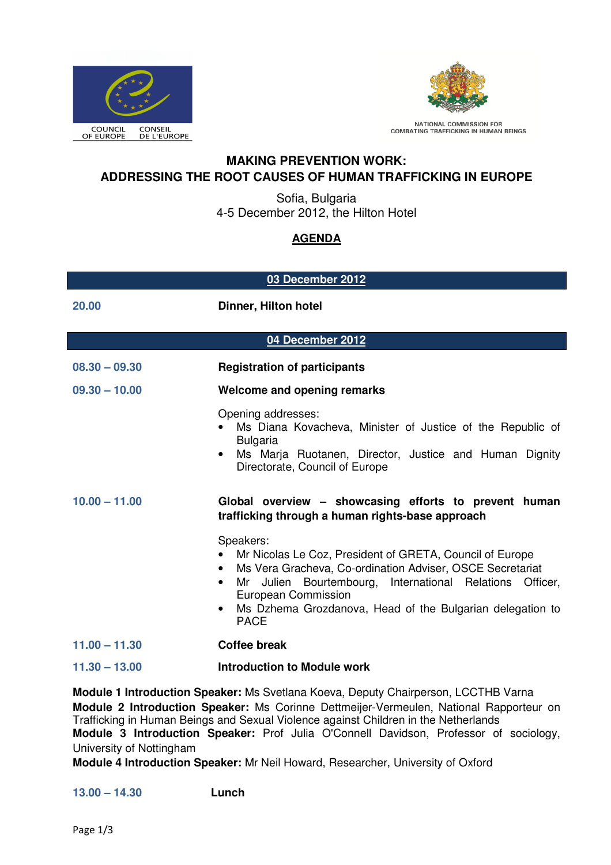



NATIONAL COMMISSION FOR<br>COMBATING TRAFFICKING IN HUMAN BEINGS

## **MAKING PREVENTION WORK: ADDRESSING THE ROOT CAUSES OF HUMAN TRAFFICKING IN EUROPE**

Sofia, Bulgaria 4-5 December 2012, the Hilton Hotel

# **AGENDA**

| 03 December 2012 |                                                                                                                                                                                                                                                                                                                             |  |
|------------------|-----------------------------------------------------------------------------------------------------------------------------------------------------------------------------------------------------------------------------------------------------------------------------------------------------------------------------|--|
| 20.00            | Dinner, Hilton hotel                                                                                                                                                                                                                                                                                                        |  |
| 04 December 2012 |                                                                                                                                                                                                                                                                                                                             |  |
| $08.30 - 09.30$  | <b>Registration of participants</b>                                                                                                                                                                                                                                                                                         |  |
| $09.30 - 10.00$  | <b>Welcome and opening remarks</b>                                                                                                                                                                                                                                                                                          |  |
|                  | Opening addresses:<br>Ms Diana Kovacheva, Minister of Justice of the Republic of<br><b>Bulgaria</b><br>Ms Marja Ruotanen, Director, Justice and Human Dignity<br>$\bullet$<br>Directorate, Council of Europe                                                                                                                |  |
| $10.00 - 11.00$  | Global overview – showcasing efforts to prevent human<br>trafficking through a human rights-base approach                                                                                                                                                                                                                   |  |
|                  | Speakers:<br>Mr Nicolas Le Coz, President of GRETA, Council of Europe<br>Ms Vera Gracheva, Co-ordination Adviser, OSCE Secretariat<br>Mr Julien Bourtembourg, International Relations Officer,<br>$\bullet$<br>European Commission<br>Ms Dzhema Grozdanova, Head of the Bulgarian delegation to<br>$\bullet$<br><b>PACE</b> |  |
| $11.00 - 11.30$  | <b>Coffee break</b>                                                                                                                                                                                                                                                                                                         |  |
| $11.30 - 13.00$  | <b>Introduction to Module work</b>                                                                                                                                                                                                                                                                                          |  |

**Module 1 Introduction Speaker:** Ms Svetlana Koeva, Deputy Chairperson, LCCTHB Varna **Module 2 Introduction Speaker:** Ms Corinne Dettmeijer-Vermeulen, National Rapporteur on Trafficking in Human Beings and Sexual Violence against Children in the Netherlands **Module 3 Introduction Speaker:** Prof Julia O'Connell Davidson, Professor of sociology, University of Nottingham

**Module 4 Introduction Speaker:** Mr Neil Howard, Researcher, University of Oxford

## **13.00 – 14.30 Lunch**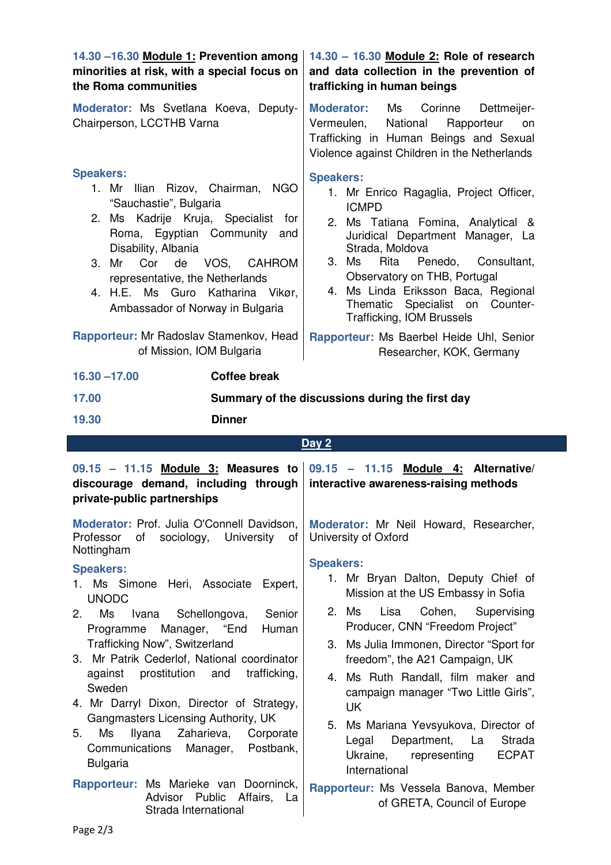| 14.30 -16.30 Module 1: Prevention among<br>minorities at risk, with a special focus on<br>the Roma communities                                                                                                                                                                                                                                                                                                                                                                                                                                                                                       | 14.30 - 16.30 Module 2: Role of research<br>and data collection in the prevention of<br>trafficking in human beings                                                                                                                                                                                                                                                                                                                                                                                                                        |  |  |
|------------------------------------------------------------------------------------------------------------------------------------------------------------------------------------------------------------------------------------------------------------------------------------------------------------------------------------------------------------------------------------------------------------------------------------------------------------------------------------------------------------------------------------------------------------------------------------------------------|--------------------------------------------------------------------------------------------------------------------------------------------------------------------------------------------------------------------------------------------------------------------------------------------------------------------------------------------------------------------------------------------------------------------------------------------------------------------------------------------------------------------------------------------|--|--|
| Moderator: Ms Svetlana Koeva, Deputy-<br>Chairperson, LCCTHB Varna                                                                                                                                                                                                                                                                                                                                                                                                                                                                                                                                   | <b>Moderator:</b><br>Ms<br>Corinne<br>Dettmeijer-<br>National<br>Vermeulen,<br>Rapporteur<br>on<br>Trafficking in Human Beings and Sexual<br>Violence against Children in the Netherlands                                                                                                                                                                                                                                                                                                                                                  |  |  |
| <b>Speakers:</b><br>Ilian Rizov, Chairman,<br><b>NGO</b><br>1. Mr<br>"Sauchastie", Bulgaria<br>2. Ms Kadrije Kruja, Specialist<br>for<br>Roma, Egyptian Community<br>and<br>Disability, Albania<br>Cor<br>de<br>VOS, CAHROM<br>3. Mr<br>representative, the Netherlands<br>4. H.E. Ms Guro Katharina Vikør,<br>Ambassador of Norway in Bulgaria                                                                                                                                                                                                                                                      | <b>Speakers:</b><br>1. Mr Enrico Ragaglia, Project Officer,<br><b>ICMPD</b><br>2. Ms Tatiana Fomina, Analytical &<br>Juridical Department Manager, La<br>Strada, Moldova<br>3. Ms<br>Rita<br>Penedo,<br>Consultant,<br>Observatory on THB, Portugal<br>4. Ms Linda Eriksson Baca, Regional<br>Thematic Specialist on Counter-<br><b>Trafficking, IOM Brussels</b>                                                                                                                                                                          |  |  |
| Rapporteur: Mr Radoslav Stamenkov, Head<br>of Mission, IOM Bulgaria                                                                                                                                                                                                                                                                                                                                                                                                                                                                                                                                  | Rapporteur: Ms Baerbel Heide Uhl, Senior<br>Researcher, KOK, Germany                                                                                                                                                                                                                                                                                                                                                                                                                                                                       |  |  |
| $16.30 - 17.00$<br><b>Coffee break</b>                                                                                                                                                                                                                                                                                                                                                                                                                                                                                                                                                               |                                                                                                                                                                                                                                                                                                                                                                                                                                                                                                                                            |  |  |
| 17.00                                                                                                                                                                                                                                                                                                                                                                                                                                                                                                                                                                                                | Summary of the discussions during the first day                                                                                                                                                                                                                                                                                                                                                                                                                                                                                            |  |  |
| <b>Dinner</b><br>19.30                                                                                                                                                                                                                                                                                                                                                                                                                                                                                                                                                                               |                                                                                                                                                                                                                                                                                                                                                                                                                                                                                                                                            |  |  |
|                                                                                                                                                                                                                                                                                                                                                                                                                                                                                                                                                                                                      |                                                                                                                                                                                                                                                                                                                                                                                                                                                                                                                                            |  |  |
|                                                                                                                                                                                                                                                                                                                                                                                                                                                                                                                                                                                                      | Day 2                                                                                                                                                                                                                                                                                                                                                                                                                                                                                                                                      |  |  |
| 09.15 - 11.15 Module 3: Measures to<br>discourage demand, including through<br>private-public partnerships                                                                                                                                                                                                                                                                                                                                                                                                                                                                                           | $09.15 - 11.15$<br>Module 4: Alternative/<br>interactive awareness-raising methods                                                                                                                                                                                                                                                                                                                                                                                                                                                         |  |  |
| Moderator: Prof. Julia O'Connell Davidson,<br>Professor<br>of<br>sociology,<br>University<br>0f<br>Nottingham                                                                                                                                                                                                                                                                                                                                                                                                                                                                                        | Moderator: Mr Neil Howard, Researcher,<br>University of Oxford                                                                                                                                                                                                                                                                                                                                                                                                                                                                             |  |  |
| <b>Speakers:</b><br>Ms Simone<br>Heri, Associate<br>1.<br>Expert,<br><b>UNODC</b><br>Ms<br>Senior<br>2.<br>Ivana<br>Schellongova,<br>"End<br>Programme<br>Manager,<br>Human<br>Trafficking Now", Switzerland<br>3. Mr Patrik Cederlof, National coordinator<br>trafficking,<br>prostitution<br>and<br>against<br>Sweden<br>4. Mr Darryl Dixon, Director of Strategy,<br>Gangmasters Licensing Authority, UK<br>Ms<br>Ilyana<br>Zaharieva,<br>Corporate<br>5.<br>Communications<br>Postbank,<br>Manager,<br><b>Bulgaria</b><br>Rapporteur: Ms Marieke van Doorninck,<br>Advisor Public<br>Affairs, La | <b>Speakers:</b><br>1. Mr Bryan Dalton, Deputy Chief of<br>Mission at the US Embassy in Sofia<br>Lisa<br>Cohen,<br>Supervising<br>2. Ms<br>Producer, CNN "Freedom Project"<br>3. Ms Julia Immonen, Director "Sport for<br>freedom", the A21 Campaign, UK<br>4. Ms Ruth Randall, film maker and<br>campaign manager "Two Little Girls",<br><b>UK</b><br>5. Ms Mariana Yevsyukova, Director of<br>Department,<br>La<br>Strada<br>Legal<br><b>ECPAT</b><br>Ukraine,<br>representing<br>International<br>Rapporteur: Ms Vessela Banova, Member |  |  |